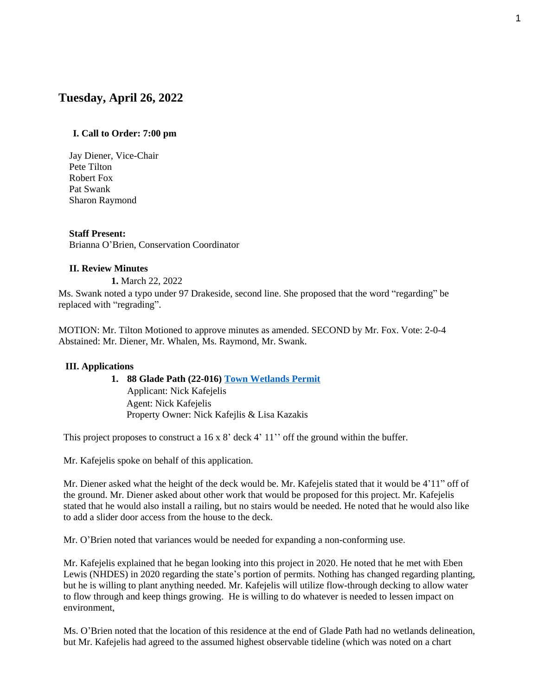# **Tuesday, April 26, 2022**

### **I. Call to Order: 7:00 pm**

Jay Diener, Vice-Chair Pete Tilton Robert Fox Pat Swank Sharon Raymond

### **Staff Present:**

Brianna O'Brien, Conservation Coordinator

#### **II. Review Minutes**

**1.** March 22, 2022

Ms. Swank noted a typo under 97 Drakeside, second line. She proposed that the word "regarding" be replaced with "regrading".

MOTION: Mr. Tilton Motioned to approve minutes as amended. SECOND by Mr. Fox. Vote: 2-0-4 Abstained: Mr. Diener, Mr. Whalen, Ms. Raymond, Mr. Swank.

#### **III. Applications**

### **1. 88 Glade Path (22-016) Town Wetlands Permit** Applicant: Nick Kafejelis Agent: Nick Kafejelis Property Owner: Nick Kafejlis & Lisa Kazakis

This project proposes to construct a 16 x 8' deck 4' 11'' off the ground within the buffer.

Mr. Kafejelis spoke on behalf of this application.

Mr. Diener asked what the height of the deck would be. Mr. Kafejelis stated that it would be 4'11" off of the ground. Mr. Diener asked about other work that would be proposed for this project. Mr. Kafejelis stated that he would also install a railing, but no stairs would be needed. He noted that he would also like to add a slider door access from the house to the deck.

Mr. O'Brien noted that variances would be needed for expanding a non-conforming use.

Mr. Kafejelis explained that he began looking into this project in 2020. He noted that he met with Eben Lewis (NHDES) in 2020 regarding the state's portion of permits. Nothing has changed regarding planting, but he is willing to plant anything needed. Mr. Kafejelis will utilize flow-through decking to allow water to flow through and keep things growing. He is willing to do whatever is needed to lessen impact on environment,

Ms. O'Brien noted that the location of this residence at the end of Glade Path had no wetlands delineation, but Mr. Kafejelis had agreed to the assumed highest observable tideline (which was noted on a chart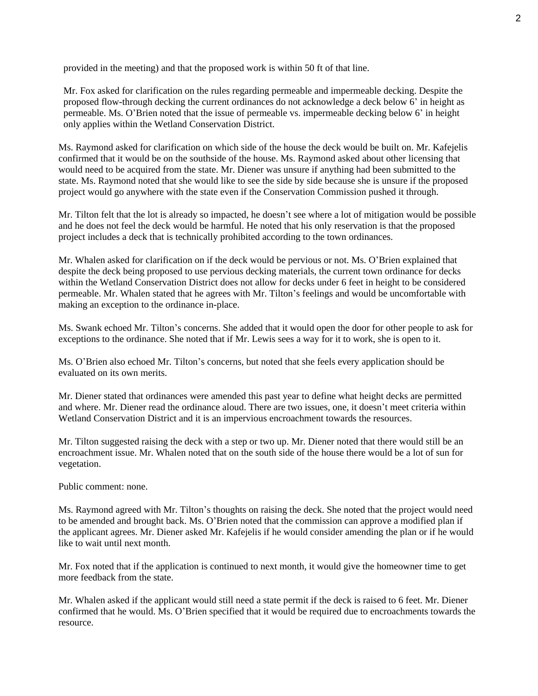provided in the meeting) and that the proposed work is within 50 ft of that line.

Mr. Fox asked for clarification on the rules regarding permeable and impermeable decking. Despite the proposed flow-through decking the current ordinances do not acknowledge a deck below 6' in height as permeable. Ms. O'Brien noted that the issue of permeable vs. impermeable decking below 6' in height only applies within the Wetland Conservation District.

Ms. Raymond asked for clarification on which side of the house the deck would be built on. Mr. Kafejelis confirmed that it would be on the southside of the house. Ms. Raymond asked about other licensing that would need to be acquired from the state. Mr. Diener was unsure if anything had been submitted to the state. Ms. Raymond noted that she would like to see the side by side because she is unsure if the proposed project would go anywhere with the state even if the Conservation Commission pushed it through.

Mr. Tilton felt that the lot is already so impacted, he doesn't see where a lot of mitigation would be possible and he does not feel the deck would be harmful. He noted that his only reservation is that the proposed project includes a deck that is technically prohibited according to the town ordinances.

Mr. Whalen asked for clarification on if the deck would be pervious or not. Ms. O'Brien explained that despite the deck being proposed to use pervious decking materials, the current town ordinance for decks within the Wetland Conservation District does not allow for decks under 6 feet in height to be considered permeable. Mr. Whalen stated that he agrees with Mr. Tilton's feelings and would be uncomfortable with making an exception to the ordinance in-place.

Ms. Swank echoed Mr. Tilton's concerns. She added that it would open the door for other people to ask for exceptions to the ordinance. She noted that if Mr. Lewis sees a way for it to work, she is open to it.

Ms. O'Brien also echoed Mr. Tilton's concerns, but noted that she feels every application should be evaluated on its own merits.

Mr. Diener stated that ordinances were amended this past year to define what height decks are permitted and where. Mr. Diener read the ordinance aloud. There are two issues, one, it doesn't meet criteria within Wetland Conservation District and it is an impervious encroachment towards the resources.

Mr. Tilton suggested raising the deck with a step or two up. Mr. Diener noted that there would still be an encroachment issue. Mr. Whalen noted that on the south side of the house there would be a lot of sun for vegetation.

Public comment: none.

Ms. Raymond agreed with Mr. Tilton's thoughts on raising the deck. She noted that the project would need to be amended and brought back. Ms. O'Brien noted that the commission can approve a modified plan if the applicant agrees. Mr. Diener asked Mr. Kafejelis if he would consider amending the plan or if he would like to wait until next month.

Mr. Fox noted that if the application is continued to next month, it would give the homeowner time to get more feedback from the state.

Mr. Whalen asked if the applicant would still need a state permit if the deck is raised to 6 feet. Mr. Diener confirmed that he would. Ms. O'Brien specified that it would be required due to encroachments towards the resource.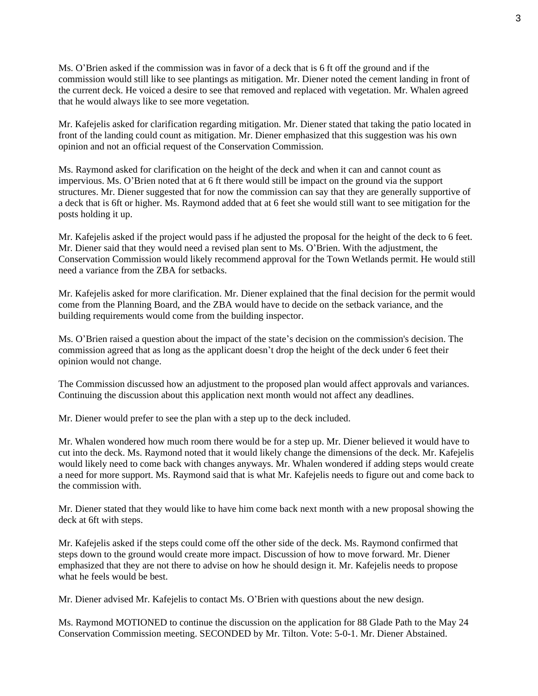Ms. O'Brien asked if the commission was in favor of a deck that is 6 ft off the ground and if the commission would still like to see plantings as mitigation. Mr. Diener noted the cement landing in front of the current deck. He voiced a desire to see that removed and replaced with vegetation. Mr. Whalen agreed that he would always like to see more vegetation.

Mr. Kafejelis asked for clarification regarding mitigation. Mr. Diener stated that taking the patio located in front of the landing could count as mitigation. Mr. Diener emphasized that this suggestion was his own opinion and not an official request of the Conservation Commission.

Ms. Raymond asked for clarification on the height of the deck and when it can and cannot count as impervious. Ms. O'Brien noted that at 6 ft there would still be impact on the ground via the support structures. Mr. Diener suggested that for now the commission can say that they are generally supportive of a deck that is 6ft or higher. Ms. Raymond added that at 6 feet she would still want to see mitigation for the posts holding it up.

Mr. Kafejelis asked if the project would pass if he adjusted the proposal for the height of the deck to 6 feet. Mr. Diener said that they would need a revised plan sent to Ms. O'Brien. With the adjustment, the Conservation Commission would likely recommend approval for the Town Wetlands permit. He would still need a variance from the ZBA for setbacks.

Mr. Kafejelis asked for more clarification. Mr. Diener explained that the final decision for the permit would come from the Planning Board, and the ZBA would have to decide on the setback variance, and the building requirements would come from the building inspector.

Ms. O'Brien raised a question about the impact of the state's decision on the commission's decision. The commission agreed that as long as the applicant doesn't drop the height of the deck under 6 feet their opinion would not change.

The Commission discussed how an adjustment to the proposed plan would affect approvals and variances. Continuing the discussion about this application next month would not affect any deadlines.

Mr. Diener would prefer to see the plan with a step up to the deck included.

Mr. Whalen wondered how much room there would be for a step up. Mr. Diener believed it would have to cut into the deck. Ms. Raymond noted that it would likely change the dimensions of the deck. Mr. Kafejelis would likely need to come back with changes anyways. Mr. Whalen wondered if adding steps would create a need for more support. Ms. Raymond said that is what Mr. Kafejelis needs to figure out and come back to the commission with.

Mr. Diener stated that they would like to have him come back next month with a new proposal showing the deck at 6ft with steps.

Mr. Kafejelis asked if the steps could come off the other side of the deck. Ms. Raymond confirmed that steps down to the ground would create more impact. Discussion of how to move forward. Mr. Diener emphasized that they are not there to advise on how he should design it. Mr. Kafejelis needs to propose what he feels would be best.

Mr. Diener advised Mr. Kafejelis to contact Ms. O'Brien with questions about the new design.

Ms. Raymond MOTIONED to continue the discussion on the application for 88 Glade Path to the May 24 Conservation Commission meeting. SECONDED by Mr. Tilton. Vote: 5-0-1. Mr. Diener Abstained.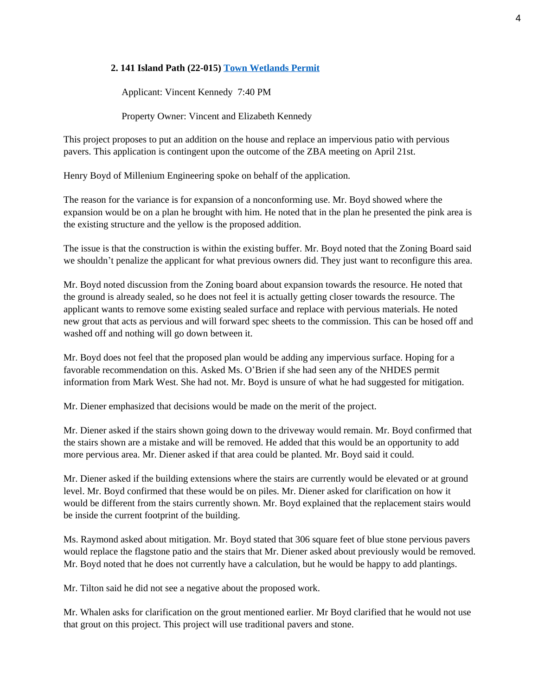### **2. 141 Island Path (22-015) Town Wetlands Permit**

Applicant: Vincent Kennedy 7:40 PM

Property Owner: Vincent and Elizabeth Kennedy

This project proposes to put an addition on the house and replace an impervious patio with pervious pavers. This application is contingent upon the outcome of the ZBA meeting on April 21st.

Henry Boyd of Millenium Engineering spoke on behalf of the application.

The reason for the variance is for expansion of a nonconforming use. Mr. Boyd showed where the expansion would be on a plan he brought with him. He noted that in the plan he presented the pink area is the existing structure and the yellow is the proposed addition.

The issue is that the construction is within the existing buffer. Mr. Boyd noted that the Zoning Board said we shouldn't penalize the applicant for what previous owners did. They just want to reconfigure this area.

Mr. Boyd noted discussion from the Zoning board about expansion towards the resource. He noted that the ground is already sealed, so he does not feel it is actually getting closer towards the resource. The applicant wants to remove some existing sealed surface and replace with pervious materials. He noted new grout that acts as pervious and will forward spec sheets to the commission. This can be hosed off and washed off and nothing will go down between it.

Mr. Boyd does not feel that the proposed plan would be adding any impervious surface. Hoping for a favorable recommendation on this. Asked Ms. O'Brien if she had seen any of the NHDES permit information from Mark West. She had not. Mr. Boyd is unsure of what he had suggested for mitigation.

Mr. Diener emphasized that decisions would be made on the merit of the project.

Mr. Diener asked if the stairs shown going down to the driveway would remain. Mr. Boyd confirmed that the stairs shown are a mistake and will be removed. He added that this would be an opportunity to add more pervious area. Mr. Diener asked if that area could be planted. Mr. Boyd said it could.

Mr. Diener asked if the building extensions where the stairs are currently would be elevated or at ground level. Mr. Boyd confirmed that these would be on piles. Mr. Diener asked for clarification on how it would be different from the stairs currently shown. Mr. Boyd explained that the replacement stairs would be inside the current footprint of the building.

Ms. Raymond asked about mitigation. Mr. Boyd stated that 306 square feet of blue stone pervious pavers would replace the flagstone patio and the stairs that Mr. Diener asked about previously would be removed. Mr. Boyd noted that he does not currently have a calculation, but he would be happy to add plantings.

Mr. Tilton said he did not see a negative about the proposed work.

Mr. Whalen asks for clarification on the grout mentioned earlier. Mr Boyd clarified that he would not use that grout on this project. This project will use traditional pavers and stone.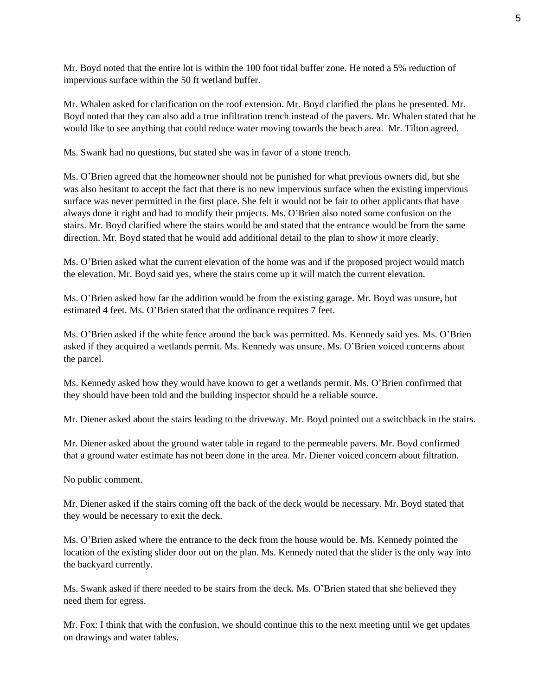Mr. Boyd noted that the entire lot is within the 100 foot tidal buffer zone. He noted a 5% reduction of impervious surface within the 50 ft wetland buffer.

Mr. Whalen asked for clarification on the roof extension. Mr. Boyd clarified the plans he presented. Mr. Boyd noted that they can also add a true infiltration trench instead of the pavers. Mr. Whalen stated that he would like to see anything that could reduce water moving towards the beach area. Mr. Tilton agreed.

Ms. Swank had no questions, but stated she was in favor of a stone trench.

Ms. O'Brien agreed that the homeowner should not be punished for what previous owners did, but she was also hesitant to accept the fact that there is no new impervious surface when the existing impervious surface was never permitted in the first place. She felt it would not be fair to other applicants that have always done it right and had to modify their projects. Ms. O'Brien also noted some confusion on the stairs. Mr. Boyd clarified where the stairs would be and stated that the entrance would be from the same direction. Mr. Boyd stated that he would add additional detail to the plan to show it more clearly.

Ms. O'Brien asked what the current elevation of the home was and if the proposed project would match the elevation. Mr. Boyd said yes, where the stairs come up it will match the current elevation.

Ms. O'Brien asked how far the addition would be from the existing garage. Mr. Boyd was unsure, but estimated 4 feet. Ms. O'Brien stated that the ordinance requires 7 feet.

Ms. O'Brien asked if the white fence around the back was permitted. Ms. Kennedy said yes. Ms. O'Brien asked if they acquired a wetlands permit. Ms. Kennedy was unsure. Ms. O'Brien voiced concerns about the parcel.

Ms. Kennedy asked how they would have known to get a wetlands permit. Ms. O'Brien confirmed that they should have been told and the building inspector should be a reliable source.

Mr. Diener asked about the stairs leading to the driveway. Mr. Boyd pointed out a switchback in the stairs.

Mr. Diener asked about the ground water table in regard to the permeable pavers. Mr. Boyd confirmed that a ground water estimate has not been done in the area. Mr. Diener voiced concern about filtration.

No public comment.

Mr. Diener asked if the stairs coming off the back of the deck would be necessary. Mr. Boyd stated that they would be necessary to exit the deck.

Ms. O'Brien asked where the entrance to the deck from the house would be. Ms. Kennedy pointed the location of the existing slider door out on the plan. Ms. Kennedy noted that the slider is the only way into the backyard currently.

Ms. Swank asked if there needed to be stairs from the deck. Ms. O'Brien stated that she believed they need them for egress.

Mr. Fox: I think that with the confusion, we should continue this to the next meeting until we get updates on drawings and water tables.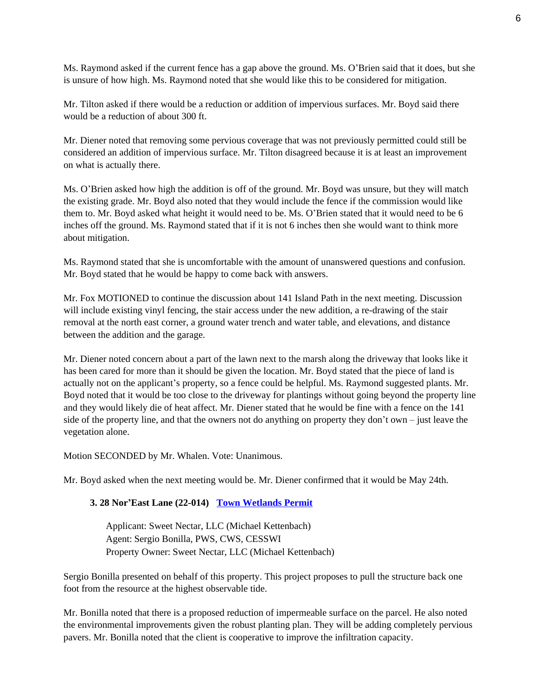Ms. Raymond asked if the current fence has a gap above the ground. Ms. O'Brien said that it does, but she is unsure of how high. Ms. Raymond noted that she would like this to be considered for mitigation.

Mr. Tilton asked if there would be a reduction or addition of impervious surfaces. Mr. Boyd said there would be a reduction of about 300 ft.

Mr. Diener noted that removing some pervious coverage that was not previously permitted could still be considered an addition of impervious surface. Mr. Tilton disagreed because it is at least an improvement on what is actually there.

Ms. O'Brien asked how high the addition is off of the ground. Mr. Boyd was unsure, but they will match the existing grade. Mr. Boyd also noted that they would include the fence if the commission would like them to. Mr. Boyd asked what height it would need to be. Ms. O'Brien stated that it would need to be 6 inches off the ground. Ms. Raymond stated that if it is not 6 inches then she would want to think more about mitigation.

Ms. Raymond stated that she is uncomfortable with the amount of unanswered questions and confusion. Mr. Boyd stated that he would be happy to come back with answers.

Mr. Fox MOTIONED to continue the discussion about 141 Island Path in the next meeting. Discussion will include existing vinyl fencing, the stair access under the new addition, a re-drawing of the stair removal at the north east corner, a ground water trench and water table, and elevations, and distance between the addition and the garage.

Mr. Diener noted concern about a part of the lawn next to the marsh along the driveway that looks like it has been cared for more than it should be given the location. Mr. Boyd stated that the piece of land is actually not on the applicant's property, so a fence could be helpful. Ms. Raymond suggested plants. Mr. Boyd noted that it would be too close to the driveway for plantings without going beyond the property line and they would likely die of heat affect. Mr. Diener stated that he would be fine with a fence on the 141 side of the property line, and that the owners not do anything on property they don't own – just leave the vegetation alone.

Motion SECONDED by Mr. Whalen. Vote: Unanimous.

Mr. Boyd asked when the next meeting would be. Mr. Diener confirmed that it would be May 24th.

## **3. 28 Nor'East Lane (22-014) [Town Wetlands Permit](https://www.hamptonnh.gov/DocumentCenter/View/5240/28-noreast-Town-Wetland-Permit-Application-2022)**

Applicant: Sweet Nectar, LLC (Michael Kettenbach) Agent: Sergio Bonilla, PWS, CWS, CESSWI Property Owner: Sweet Nectar, LLC (Michael Kettenbach)

Sergio Bonilla presented on behalf of this property. This project proposes to pull the structure back one foot from the resource at the highest observable tide.

Mr. Bonilla noted that there is a proposed reduction of impermeable surface on the parcel. He also noted the environmental improvements given the robust planting plan. They will be adding completely pervious pavers. Mr. Bonilla noted that the client is cooperative to improve the infiltration capacity.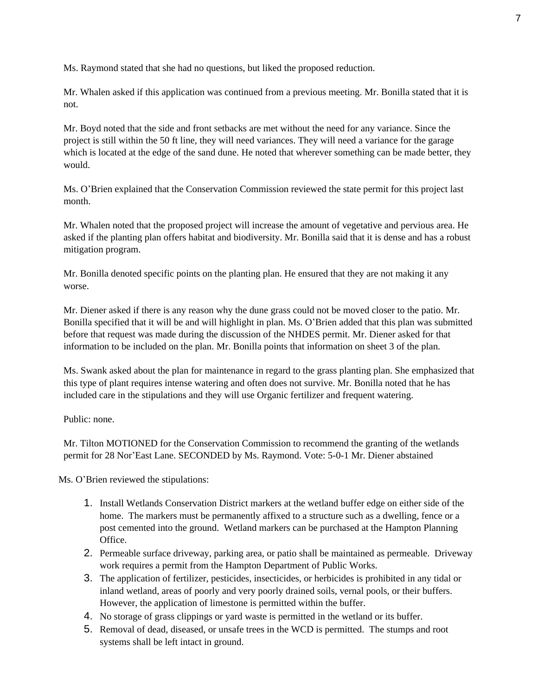Ms. Raymond stated that she had no questions, but liked the proposed reduction.

Mr. Whalen asked if this application was continued from a previous meeting. Mr. Bonilla stated that it is not.

Mr. Boyd noted that the side and front setbacks are met without the need for any variance. Since the project is still within the 50 ft line, they will need variances. They will need a variance for the garage which is located at the edge of the sand dune. He noted that wherever something can be made better, they would.

Ms. O'Brien explained that the Conservation Commission reviewed the state permit for this project last month.

Mr. Whalen noted that the proposed project will increase the amount of vegetative and pervious area. He asked if the planting plan offers habitat and biodiversity. Mr. Bonilla said that it is dense and has a robust mitigation program.

Mr. Bonilla denoted specific points on the planting plan. He ensured that they are not making it any worse.

Mr. Diener asked if there is any reason why the dune grass could not be moved closer to the patio. Mr. Bonilla specified that it will be and will highlight in plan. Ms. O'Brien added that this plan was submitted before that request was made during the discussion of the NHDES permit. Mr. Diener asked for that information to be included on the plan. Mr. Bonilla points that information on sheet 3 of the plan.

Ms. Swank asked about the plan for maintenance in regard to the grass planting plan. She emphasized that this type of plant requires intense watering and often does not survive. Mr. Bonilla noted that he has included care in the stipulations and they will use Organic fertilizer and frequent watering.

Public: none.

Mr. Tilton MOTIONED for the Conservation Commission to recommend the granting of the wetlands permit for 28 Nor'East Lane. SECONDED by Ms. Raymond. Vote: 5-0-1 Mr. Diener abstained

Ms. O'Brien reviewed the stipulations:

- 1. Install Wetlands Conservation District markers at the wetland buffer edge on either side of the home. The markers must be permanently affixed to a structure such as a dwelling, fence or a post cemented into the ground. Wetland markers can be purchased at the Hampton Planning **Office**
- 2. Permeable surface driveway, parking area, or patio shall be maintained as permeable. Driveway work requires a permit from the Hampton Department of Public Works.
- 3. The application of fertilizer, pesticides, insecticides, or herbicides is prohibited in any tidal or inland wetland, areas of poorly and very poorly drained soils, vernal pools, or their buffers. However, the application of limestone is permitted within the buffer.
- 4. No storage of grass clippings or yard waste is permitted in the wetland or its buffer.
- 5. Removal of dead, diseased, or unsafe trees in the WCD is permitted. The stumps and root systems shall be left intact in ground.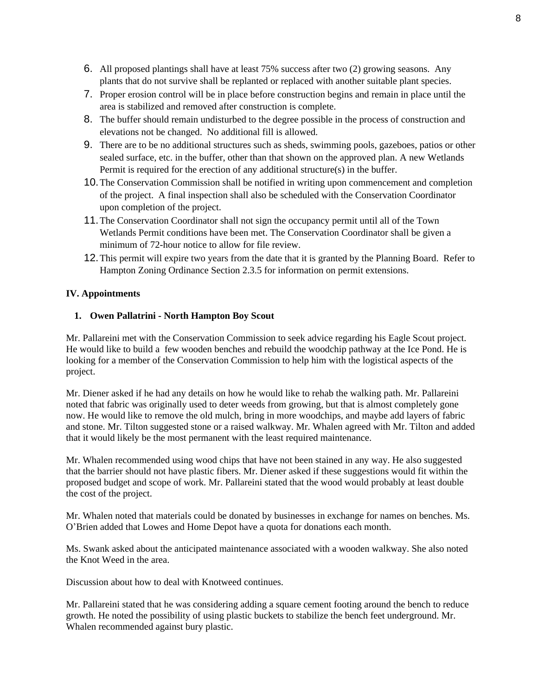- 6. All proposed plantings shall have at least 75% success after two (2) growing seasons. Any plants that do not survive shall be replanted or replaced with another suitable plant species.
- 7. Proper erosion control will be in place before construction begins and remain in place until the area is stabilized and removed after construction is complete.
- 8. The buffer should remain undisturbed to the degree possible in the process of construction and elevations not be changed. No additional fill is allowed.
- 9. There are to be no additional structures such as sheds, swimming pools, gazeboes, patios or other sealed surface, etc. in the buffer, other than that shown on the approved plan. A new Wetlands Permit is required for the erection of any additional structure(s) in the buffer.
- 10.The Conservation Commission shall be notified in writing upon commencement and completion of the project. A final inspection shall also be scheduled with the Conservation Coordinator upon completion of the project.
- 11.The Conservation Coordinator shall not sign the occupancy permit until all of the Town Wetlands Permit conditions have been met. The Conservation Coordinator shall be given a minimum of 72-hour notice to allow for file review.
- 12.This permit will expire two years from the date that it is granted by the Planning Board. Refer to Hampton Zoning Ordinance Section 2.3.5 for information on permit extensions.

### **IV. Appointments**

### **1. Owen Pallatrini - North Hampton Boy Scout**

Mr. Pallareini met with the Conservation Commission to seek advice regarding his Eagle Scout project. He would like to build a few wooden benches and rebuild the woodchip pathway at the Ice Pond. He is looking for a member of the Conservation Commission to help him with the logistical aspects of the project.

Mr. Diener asked if he had any details on how he would like to rehab the walking path. Mr. Pallareini noted that fabric was originally used to deter weeds from growing, but that is almost completely gone now. He would like to remove the old mulch, bring in more woodchips, and maybe add layers of fabric and stone. Mr. Tilton suggested stone or a raised walkway. Mr. Whalen agreed with Mr. Tilton and added that it would likely be the most permanent with the least required maintenance.

Mr. Whalen recommended using wood chips that have not been stained in any way. He also suggested that the barrier should not have plastic fibers. Mr. Diener asked if these suggestions would fit within the proposed budget and scope of work. Mr. Pallareini stated that the wood would probably at least double the cost of the project.

Mr. Whalen noted that materials could be donated by businesses in exchange for names on benches. Ms. O'Brien added that Lowes and Home Depot have a quota for donations each month.

Ms. Swank asked about the anticipated maintenance associated with a wooden walkway. She also noted the Knot Weed in the area.

Discussion about how to deal with Knotweed continues.

Mr. Pallareini stated that he was considering adding a square cement footing around the bench to reduce growth. He noted the possibility of using plastic buckets to stabilize the bench feet underground. Mr. Whalen recommended against bury plastic.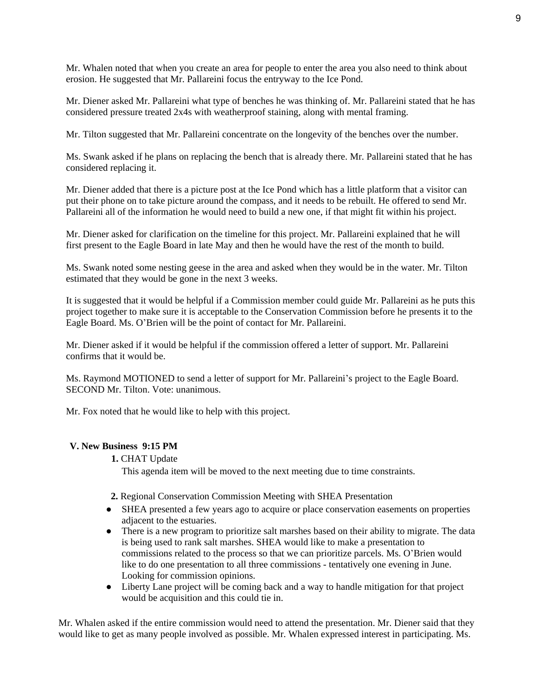Mr. Whalen noted that when you create an area for people to enter the area you also need to think about erosion. He suggested that Mr. Pallareini focus the entryway to the Ice Pond.

Mr. Diener asked Mr. Pallareini what type of benches he was thinking of. Mr. Pallareini stated that he has considered pressure treated 2x4s with weatherproof staining, along with mental framing.

Mr. Tilton suggested that Mr. Pallareini concentrate on the longevity of the benches over the number.

Ms. Swank asked if he plans on replacing the bench that is already there. Mr. Pallareini stated that he has considered replacing it.

Mr. Diener added that there is a picture post at the Ice Pond which has a little platform that a visitor can put their phone on to take picture around the compass, and it needs to be rebuilt. He offered to send Mr. Pallareini all of the information he would need to build a new one, if that might fit within his project.

Mr. Diener asked for clarification on the timeline for this project. Mr. Pallareini explained that he will first present to the Eagle Board in late May and then he would have the rest of the month to build.

Ms. Swank noted some nesting geese in the area and asked when they would be in the water. Mr. Tilton estimated that they would be gone in the next 3 weeks.

It is suggested that it would be helpful if a Commission member could guide Mr. Pallareini as he puts this project together to make sure it is acceptable to the Conservation Commission before he presents it to the Eagle Board. Ms. O'Brien will be the point of contact for Mr. Pallareini.

Mr. Diener asked if it would be helpful if the commission offered a letter of support. Mr. Pallareini confirms that it would be.

Ms. Raymond MOTIONED to send a letter of support for Mr. Pallareini's project to the Eagle Board. SECOND Mr. Tilton. Vote: unanimous.

Mr. Fox noted that he would like to help with this project.

### **V. New Business 9:15 PM**

**1.** CHAT Update

This agenda item will be moved to the next meeting due to time constraints.

- **2.** Regional Conservation Commission Meeting with SHEA Presentation
- SHEA presented a few years ago to acquire or place conservation easements on properties adjacent to the estuaries.
- There is a new program to prioritize salt marshes based on their ability to migrate. The data is being used to rank salt marshes. SHEA would like to make a presentation to commissions related to the process so that we can prioritize parcels. Ms. O'Brien would like to do one presentation to all three commissions - tentatively one evening in June. Looking for commission opinions.
- Liberty Lane project will be coming back and a way to handle mitigation for that project would be acquisition and this could tie in.

Mr. Whalen asked if the entire commission would need to attend the presentation. Mr. Diener said that they would like to get as many people involved as possible. Mr. Whalen expressed interest in participating. Ms.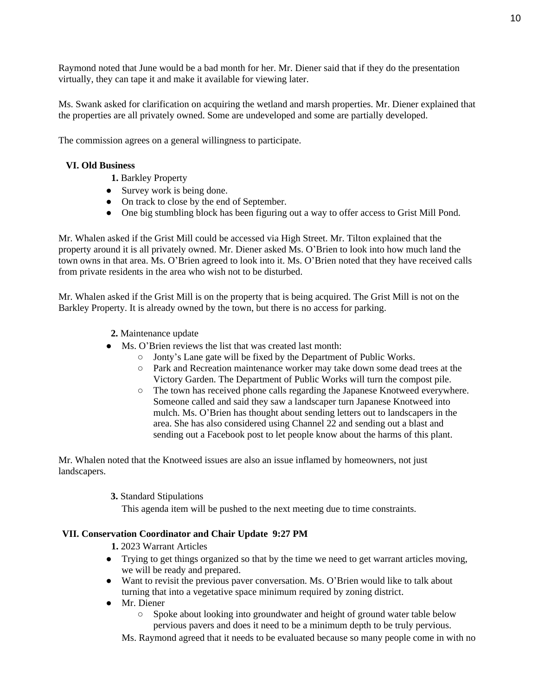Raymond noted that June would be a bad month for her. Mr. Diener said that if they do the presentation virtually, they can tape it and make it available for viewing later.

Ms. Swank asked for clarification on acquiring the wetland and marsh properties. Mr. Diener explained that the properties are all privately owned. Some are undeveloped and some are partially developed.

The commission agrees on a general willingness to participate.

### **VI. Old Business**

- **1.** Barkley Property
- Survey work is being done.
- On track to close by the end of September.
- One big stumbling block has been figuring out a way to offer access to Grist Mill Pond.

Mr. Whalen asked if the Grist Mill could be accessed via High Street. Mr. Tilton explained that the property around it is all privately owned. Mr. Diener asked Ms. O'Brien to look into how much land the town owns in that area. Ms. O'Brien agreed to look into it. Ms. O'Brien noted that they have received calls from private residents in the area who wish not to be disturbed.

Mr. Whalen asked if the Grist Mill is on the property that is being acquired. The Grist Mill is not on the Barkley Property. It is already owned by the town, but there is no access for parking.

- **2.** Maintenance update
- Ms. O'Brien reviews the list that was created last month:
	- Jonty's Lane gate will be fixed by the Department of Public Works.
	- Park and Recreation maintenance worker may take down some dead trees at the Victory Garden. The Department of Public Works will turn the compost pile.
	- The town has received phone calls regarding the Japanese Knotweed everywhere. Someone called and said they saw a landscaper turn Japanese Knotweed into mulch. Ms. O'Brien has thought about sending letters out to landscapers in the area. She has also considered using Channel 22 and sending out a blast and sending out a Facebook post to let people know about the harms of this plant.

Mr. Whalen noted that the Knotweed issues are also an issue inflamed by homeowners, not just landscapers.

**3.** Standard Stipulations

This agenda item will be pushed to the next meeting due to time constraints.

### **VII. Conservation Coordinator and Chair Update 9:27 PM**

- **1.** 2023 Warrant Articles
- Trying to get things organized so that by the time we need to get warrant articles moving, we will be ready and prepared.
- Want to revisit the previous paver conversation. Ms. O'Brien would like to talk about turning that into a vegetative space minimum required by zoning district.
- Mr. Diener
	- Spoke about looking into groundwater and height of ground water table below pervious pavers and does it need to be a minimum depth to be truly pervious.

Ms. Raymond agreed that it needs to be evaluated because so many people come in with no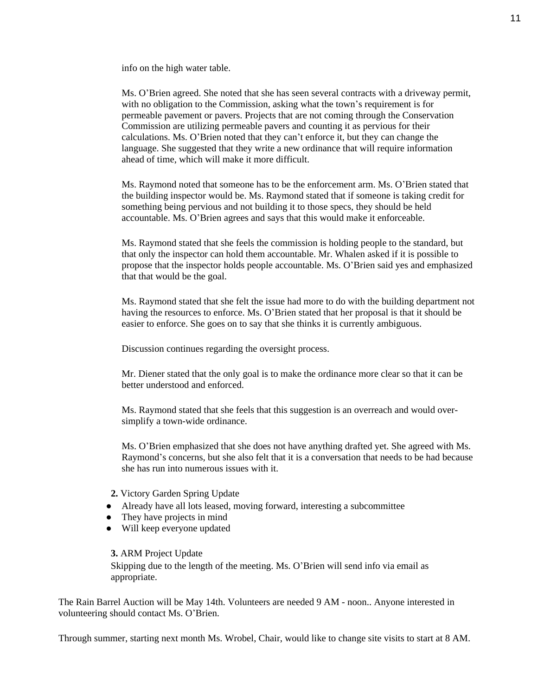info on the high water table.

Ms. O'Brien agreed. She noted that she has seen several contracts with a driveway permit, with no obligation to the Commission, asking what the town's requirement is for permeable pavement or pavers. Projects that are not coming through the Conservation Commission are utilizing permeable pavers and counting it as pervious for their calculations. Ms. O'Brien noted that they can't enforce it, but they can change the language. She suggested that they write a new ordinance that will require information ahead of time, which will make it more difficult.

Ms. Raymond noted that someone has to be the enforcement arm. Ms. O'Brien stated that the building inspector would be. Ms. Raymond stated that if someone is taking credit for something being pervious and not building it to those specs, they should be held accountable. Ms. O'Brien agrees and says that this would make it enforceable.

Ms. Raymond stated that she feels the commission is holding people to the standard, but that only the inspector can hold them accountable. Mr. Whalen asked if it is possible to propose that the inspector holds people accountable. Ms. O'Brien said yes and emphasized that that would be the goal.

Ms. Raymond stated that she felt the issue had more to do with the building department not having the resources to enforce. Ms. O'Brien stated that her proposal is that it should be easier to enforce. She goes on to say that she thinks it is currently ambiguous.

Discussion continues regarding the oversight process.

Mr. Diener stated that the only goal is to make the ordinance more clear so that it can be better understood and enforced.

Ms. Raymond stated that she feels that this suggestion is an overreach and would oversimplify a town-wide ordinance.

Ms. O'Brien emphasized that she does not have anything drafted yet. She agreed with Ms. Raymond's concerns, but she also felt that it is a conversation that needs to be had because she has run into numerous issues with it.

**2.** Victory Garden Spring Update

- Already have all lots leased, moving forward, interesting a subcommittee
- They have projects in mind
- Will keep everyone updated

**3.** ARM Project Update

Skipping due to the length of the meeting. Ms. O'Brien will send info via email as appropriate.

The Rain Barrel Auction will be May 14th. Volunteers are needed 9 AM - noon.. Anyone interested in volunteering should contact Ms. O'Brien.

Through summer, starting next month Ms. Wrobel, Chair, would like to change site visits to start at 8 AM.